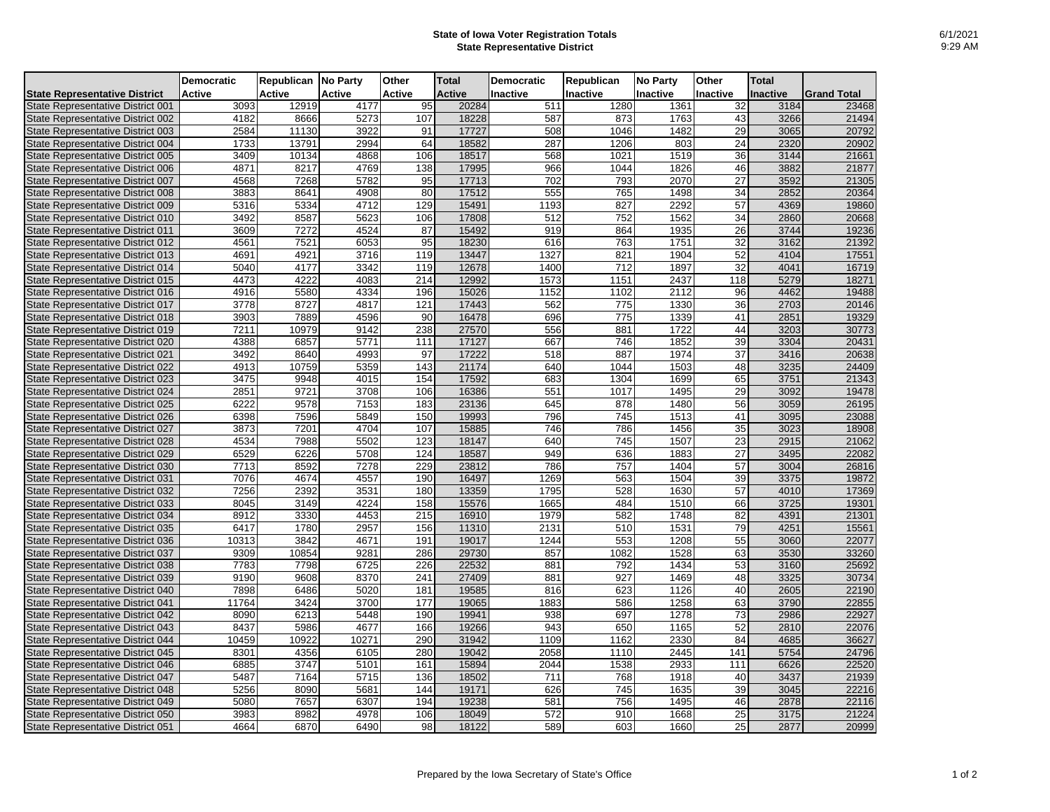## **State of Iowa Voter Registration Totals State Representative District**

|                                      | <b>Democratic</b> | Republican No Party |               | Other            | <b>Total</b>  | <b>Democratic</b> | Republican      | <b>No Party</b> | Other           | <b>Total</b>    |                    |
|--------------------------------------|-------------------|---------------------|---------------|------------------|---------------|-------------------|-----------------|-----------------|-----------------|-----------------|--------------------|
| <b>State Representative District</b> | <b>Active</b>     | <b>Active</b>       | <b>Active</b> | <b>Active</b>    | <b>Active</b> | Inactive          | <b>Inactive</b> | Inactive        | <b>Inactive</b> | <b>Inactive</b> | <b>Grand Total</b> |
| State Representative District 001    | 3093              | 12919               | 4177          | 95               | 20284         | 511               | 1280            | 1361            | 32              | 3184            | 23468              |
| State Representative District 002    | 4182              | 8666                | 5273          | 107              | 18228         | 587               | 873             | 1763            | 43              | 3266            | 21494              |
| State Representative District 003    | 2584              | 11130               | 3922          | 91               | 17727         | 508               | 1046            | 1482            | 29              | 3065            | 20792              |
| State Representative District 004    | 1733              | 13791               | 2994          | 64               | 18582         | 287               | 1206            | 803             | 24              | 2320            | 20902              |
| State Representative District 005    | 3409              | 10134               | 4868          | 106              | 18517         | 568               | 1021            | 1519            | 36              | 3144            | 21661              |
| State Representative District 006    | 4871              | 8217                | 4769          | 138              | 17995         | 966               | 1044            | 1826            | 46              | 3882            | 21877              |
| State Representative District 007    | 4568              | 7268                | 5782          | 95               | 17713         | 702               | 793             | 2070            | 27              | 3592            | 21305              |
| State Representative District 008    | 3883              | 8641                | 4908          | 80               | 17512         | 555               | 765             | 1498            | 34              | 2852            | 20364              |
| State Representative District 009    | 5316              | 5334                | 4712          | 129              | 15491         | 1193              | 827             | 2292            | 57              | 4369            | 19860              |
| State Representative District 010    | 3492              | 8587                | 5623          | 106              | 17808         | 512               | 752             | 1562            | 34              | 2860            | 20668              |
| State Representative District 011    | 3609              | 7272                | 4524          | 87               | 15492         | 919               | 864             | 1935            | 26              | 3744            | 19236              |
| State Representative District 012    | 4561              | 7521                | 6053          | 95               | 18230         | 616               | 763             | 1751            | 32              | 3162            | 21392              |
| State Representative District 013    | 4691              | 4921                | 3716          | 119              | 13447         | 1327              | 821             | 1904            | 52              | 4104            | 17551              |
| State Representative District 014    | 5040              | 4177                | 3342          | 119              | 12678         | 1400              | 712             | 1897            | $\overline{32}$ | 4041            | 16719              |
| State Representative District 015    | 4473              | 4222                | 4083          | 214              | 12992         | 1573              | 1151            | 2437            | 118             | 5279            | 18271              |
| State Representative District 016    | 4916              | 5580                | 4334          | 196              | 15026         | 1152              | 1102            | 2112            | 96              | 4462            | 19488              |
| State Representative District 017    | 3778              | 8727                | 4817          | $\overline{121}$ | 17443         | 562               | 775             | 1330            | 36              | 2703            | 20146              |
| State Representative District 018    | 3903              | 7889                | 4596          | 90               | 16478         | 696               | 775             | 1339            | 41              | 2851            | 19329              |
| State Representative District 019    | 7211              | 10979               | 9142          | 238              | 27570         | 556               | 881             | 1722            | 44              | 3203            | 30773              |
| State Representative District 020    | 4388              | 6857                | 5771          | 111              | 17127         | 667               | 746             | 1852            | 39              | 3304            | 20431              |
| State Representative District 021    | 3492              | 8640                | 4993          | $\overline{97}$  | 17222         | 518               | 887             | 1974            | $\overline{37}$ | 3416            | 20638              |
| State Representative District 022    | 4913              | 10759               | 5359          | 143              | 21174         | 640               | 1044            | 1503            | 48              | 3235            | 24409              |
| State Representative District 023    | 3475              | 9948                | 4015          | 154              | 17592         | 683               | 1304            | 1699            | 65              | 3751            | 21343              |
| State Representative District 024    | 2851              | 9721                | 3708          | 106              | 16386         | 551               | 1017            | 1495            | 29              | 3092            | 19478              |
| State Representative District 025    | 6222              | 9578                | 7153          | 183              | 23136         | 645               | 878             | 1480            | 56              | 3059            | 26195              |
| State Representative District 026    | 6398              | 7596                | 5849          | 150              | 19993         | 796               | 745             | 1513            | 41              | 3095            | 23088              |
| State Representative District 027    | 3873              | 7201                | 4704          | 107              | 15885         | 746               | 786             | 1456            | 35              | 3023            | 18908              |
| State Representative District 028    | 4534              | 7988                | 5502          | 123              | 18147         | 640               | 745             | 1507            | 23              | 2915            | 21062              |
| State Representative District 029    | 6529              | 6226                | 5708          | 124              | 18587         | 949               | 636             | 1883            | 27              | 3495            | 22082              |
| State Representative District 030    | 7713              | 8592                | 7278          | 229              | 23812         | 786               | 757             | 1404            | 57              | 3004            | 26816              |
| State Representative District 031    | 7076              | 4674                | 4557          | 190              | 16497         | 1269              | 563             | 1504            | 39              | 3375            | 19872              |
| State Representative District 032    | 7256              | 2392                | 3531          | 180              | 13359         | 1795              | 528             | 1630            | 57              | 4010            | 17369              |
| State Representative District 033    | 8045              | 3149                | 4224          | 158              | 15576         | 1665              | 484             | 1510            | 66              | 3725            | 19301              |
| State Representative District 034    | 8912              | 3330                | 4453          | 215              | 16910         | 1979              | 582             | 1748            | 82              | 4391            | 21301              |
| State Representative District 035    | 6417              | 1780                | 2957          | 156              | 11310         | 2131              | 510             | 1531            | 79              | 4251            | 15561              |
| State Representative District 036    | 10313             | 3842                | 4671          | 191              | 19017         | 1244              | 553             | 1208            | 55              | 3060            | 22077              |
| State Representative District 037    | 9309              | 10854               | 9281          | 286              | 29730         | 857               | 1082            | 1528            | 63              | 3530            | 33260              |
| State Representative District 038    | 7783              | 7798                | 6725          | 226              | 22532         | 881               | 792             | 1434            | 53              | 3160            | 25692              |
| State Representative District 039    | 9190              | 9608                | 8370          | 241              | 27409         | 881               | 927             | 1469            | 48              | 3325            | 30734              |
| State Representative District 040    | 7898              | 6486                | 5020          | 181              | 19585         | 816               | 623             | 1126            | 40              | 2605            | 22190              |
| State Representative District 041    | 11764             | 3424                | 3700          | 177              | 19065         | 1883              | 586             | 1258            | 63              | 3790            | 22855              |
| State Representative District 042    | 8090              | 6213                | 5448          | 190              | 19941         | 938               | 697             | 1278            | 73              | 2986            | 22927              |
| State Representative District 043    | 8437              | 5986                | 4677          | 166              | 19266         | 943               | 650             | 1165            | 52              | 2810            | 22076              |
| State Representative District 044    | 10459             | 10922               | 10271         | 290              | 31942         | 1109              | 1162            | 2330            | 84              | 4685            | 36627              |
| State Representative District 045    | 8301              | 4356                | 6105          | 280              | 19042         | 2058              | 1110            | 2445            | 141             | 5754            | 24796              |
| State Representative District 046    | 6885              | 3747                | 5101          | 161              | 15894         | 2044              | 1538            | 2933            | 111             | 6626            | 22520              |
| State Representative District 047    | 5487              | 7164                | 5715          | 136              | 18502         | 711               | 768             | 1918            | 40              | 3437            | 21939              |
| State Representative District 048    | 5256              | 8090                | 5681          | 144              | 19171         | 626               | 745             | 1635            | 39              | 3045            | 22216              |
| State Representative District 049    | 5080              | 7657                | 6307          | 194              | 19238         | 581               | 756             | 1495            | 46              | 2878            | 22116              |
| State Representative District 050    | 3983              | 8982                | 4978          | 106              | 18049         | 572               | 910             | 1668            | 25              | 3175            | 21224              |
| State Representative District 051    | 4664              | 6870                | 6490          | 98               | 18122         | 589               | 603             | 1660            | 25              | 2877            | 20999              |